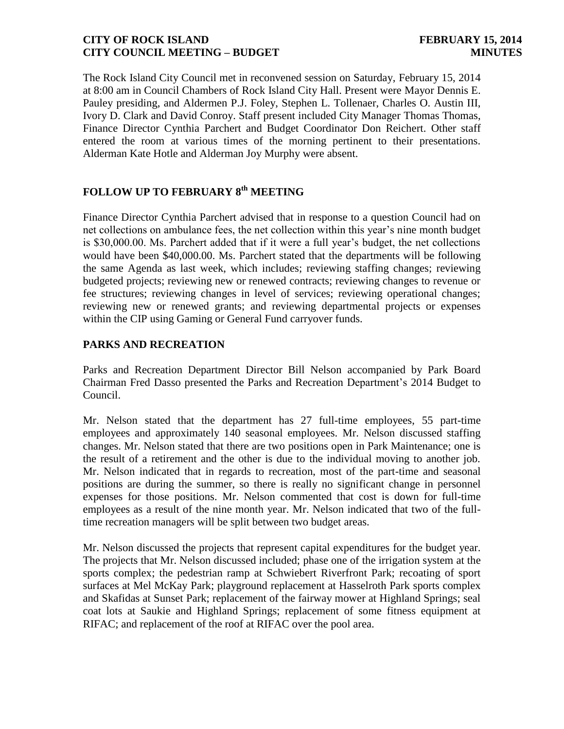The Rock Island City Council met in reconvened session on Saturday, February 15, 2014 at 8:00 am in Council Chambers of Rock Island City Hall. Present were Mayor Dennis E. Pauley presiding, and Aldermen P.J. Foley, Stephen L. Tollenaer, Charles O. Austin III, Ivory D. Clark and David Conroy. Staff present included City Manager Thomas Thomas, Finance Director Cynthia Parchert and Budget Coordinator Don Reichert. Other staff entered the room at various times of the morning pertinent to their presentations. Alderman Kate Hotle and Alderman Joy Murphy were absent.

# **FOLLOW UP TO FEBRUARY 8 th MEETING**

Finance Director Cynthia Parchert advised that in response to a question Council had on net collections on ambulance fees, the net collection within this year's nine month budget is \$30,000.00. Ms. Parchert added that if it were a full year's budget, the net collections would have been \$40,000.00. Ms. Parchert stated that the departments will be following the same Agenda as last week, which includes; reviewing staffing changes; reviewing budgeted projects; reviewing new or renewed contracts; reviewing changes to revenue or fee structures; reviewing changes in level of services; reviewing operational changes; reviewing new or renewed grants; and reviewing departmental projects or expenses within the CIP using Gaming or General Fund carryover funds.

## **PARKS AND RECREATION**

Parks and Recreation Department Director Bill Nelson accompanied by Park Board Chairman Fred Dasso presented the Parks and Recreation Department's 2014 Budget to Council.

Mr. Nelson stated that the department has 27 full-time employees, 55 part-time employees and approximately 140 seasonal employees. Mr. Nelson discussed staffing changes. Mr. Nelson stated that there are two positions open in Park Maintenance; one is the result of a retirement and the other is due to the individual moving to another job. Mr. Nelson indicated that in regards to recreation, most of the part-time and seasonal positions are during the summer, so there is really no significant change in personnel expenses for those positions. Mr. Nelson commented that cost is down for full-time employees as a result of the nine month year. Mr. Nelson indicated that two of the fulltime recreation managers will be split between two budget areas.

Mr. Nelson discussed the projects that represent capital expenditures for the budget year. The projects that Mr. Nelson discussed included; phase one of the irrigation system at the sports complex; the pedestrian ramp at Schwiebert Riverfront Park; recoating of sport surfaces at Mel McKay Park; playground replacement at Hasselroth Park sports complex and Skafidas at Sunset Park; replacement of the fairway mower at Highland Springs; seal coat lots at Saukie and Highland Springs; replacement of some fitness equipment at RIFAC; and replacement of the roof at RIFAC over the pool area.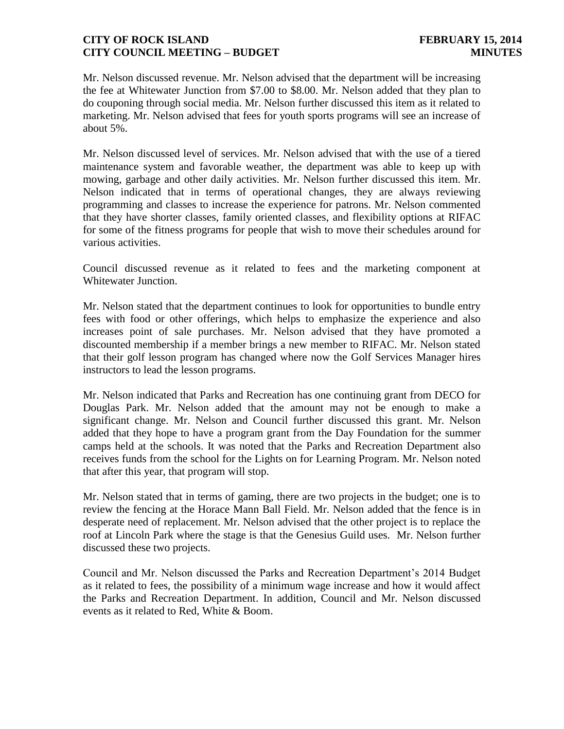Mr. Nelson discussed revenue. Mr. Nelson advised that the department will be increasing the fee at Whitewater Junction from \$7.00 to \$8.00. Mr. Nelson added that they plan to do couponing through social media. Mr. Nelson further discussed this item as it related to marketing. Mr. Nelson advised that fees for youth sports programs will see an increase of about 5%.

Mr. Nelson discussed level of services. Mr. Nelson advised that with the use of a tiered maintenance system and favorable weather, the department was able to keep up with mowing, garbage and other daily activities. Mr. Nelson further discussed this item. Mr. Nelson indicated that in terms of operational changes, they are always reviewing programming and classes to increase the experience for patrons. Mr. Nelson commented that they have shorter classes, family oriented classes, and flexibility options at RIFAC for some of the fitness programs for people that wish to move their schedules around for various activities.

Council discussed revenue as it related to fees and the marketing component at Whitewater Junction.

Mr. Nelson stated that the department continues to look for opportunities to bundle entry fees with food or other offerings, which helps to emphasize the experience and also increases point of sale purchases. Mr. Nelson advised that they have promoted a discounted membership if a member brings a new member to RIFAC. Mr. Nelson stated that their golf lesson program has changed where now the Golf Services Manager hires instructors to lead the lesson programs.

Mr. Nelson indicated that Parks and Recreation has one continuing grant from DECO for Douglas Park. Mr. Nelson added that the amount may not be enough to make a significant change. Mr. Nelson and Council further discussed this grant. Mr. Nelson added that they hope to have a program grant from the Day Foundation for the summer camps held at the schools. It was noted that the Parks and Recreation Department also receives funds from the school for the Lights on for Learning Program. Mr. Nelson noted that after this year, that program will stop.

Mr. Nelson stated that in terms of gaming, there are two projects in the budget; one is to review the fencing at the Horace Mann Ball Field. Mr. Nelson added that the fence is in desperate need of replacement. Mr. Nelson advised that the other project is to replace the roof at Lincoln Park where the stage is that the Genesius Guild uses. Mr. Nelson further discussed these two projects.

Council and Mr. Nelson discussed the Parks and Recreation Department's 2014 Budget as it related to fees, the possibility of a minimum wage increase and how it would affect the Parks and Recreation Department. In addition, Council and Mr. Nelson discussed events as it related to Red, White & Boom.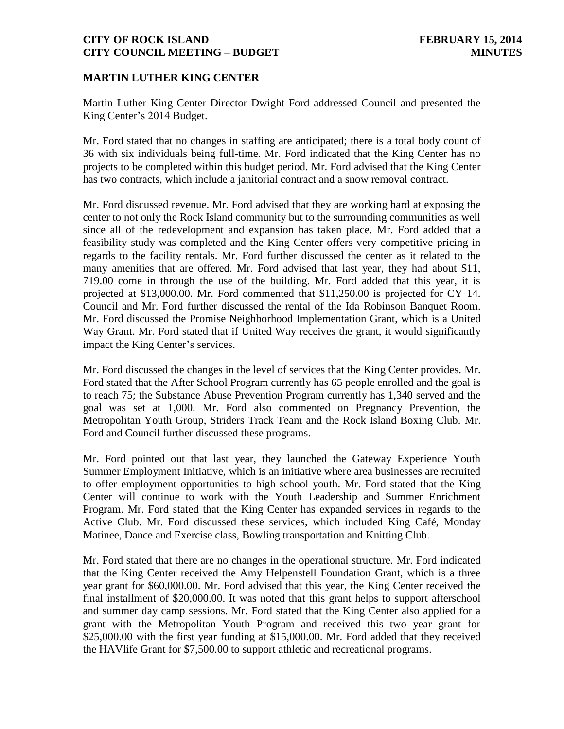#### **MARTIN LUTHER KING CENTER**

Martin Luther King Center Director Dwight Ford addressed Council and presented the King Center's 2014 Budget.

Mr. Ford stated that no changes in staffing are anticipated; there is a total body count of 36 with six individuals being full-time. Mr. Ford indicated that the King Center has no projects to be completed within this budget period. Mr. Ford advised that the King Center has two contracts, which include a janitorial contract and a snow removal contract.

Mr. Ford discussed revenue. Mr. Ford advised that they are working hard at exposing the center to not only the Rock Island community but to the surrounding communities as well since all of the redevelopment and expansion has taken place. Mr. Ford added that a feasibility study was completed and the King Center offers very competitive pricing in regards to the facility rentals. Mr. Ford further discussed the center as it related to the many amenities that are offered. Mr. Ford advised that last year, they had about \$11, 719.00 come in through the use of the building. Mr. Ford added that this year, it is projected at \$13,000.00. Mr. Ford commented that \$11,250.00 is projected for CY 14. Council and Mr. Ford further discussed the rental of the Ida Robinson Banquet Room. Mr. Ford discussed the Promise Neighborhood Implementation Grant, which is a United Way Grant. Mr. Ford stated that if United Way receives the grant, it would significantly impact the King Center's services.

Mr. Ford discussed the changes in the level of services that the King Center provides. Mr. Ford stated that the After School Program currently has 65 people enrolled and the goal is to reach 75; the Substance Abuse Prevention Program currently has 1,340 served and the goal was set at 1,000. Mr. Ford also commented on Pregnancy Prevention, the Metropolitan Youth Group, Striders Track Team and the Rock Island Boxing Club. Mr. Ford and Council further discussed these programs.

Mr. Ford pointed out that last year, they launched the Gateway Experience Youth Summer Employment Initiative, which is an initiative where area businesses are recruited to offer employment opportunities to high school youth. Mr. Ford stated that the King Center will continue to work with the Youth Leadership and Summer Enrichment Program. Mr. Ford stated that the King Center has expanded services in regards to the Active Club. Mr. Ford discussed these services, which included King Café, Monday Matinee, Dance and Exercise class, Bowling transportation and Knitting Club.

Mr. Ford stated that there are no changes in the operational structure. Mr. Ford indicated that the King Center received the Amy Helpenstell Foundation Grant, which is a three year grant for \$60,000.00. Mr. Ford advised that this year, the King Center received the final installment of \$20,000.00. It was noted that this grant helps to support afterschool and summer day camp sessions. Mr. Ford stated that the King Center also applied for a grant with the Metropolitan Youth Program and received this two year grant for \$25,000.00 with the first year funding at \$15,000.00. Mr. Ford added that they received the HAVlife Grant for \$7,500.00 to support athletic and recreational programs.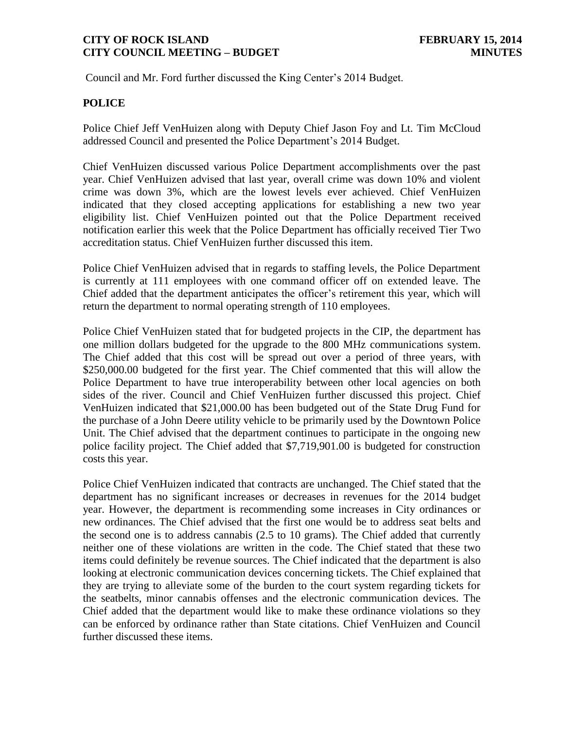Council and Mr. Ford further discussed the King Center's 2014 Budget.

### **POLICE**

Police Chief Jeff VenHuizen along with Deputy Chief Jason Foy and Lt. Tim McCloud addressed Council and presented the Police Department's 2014 Budget.

Chief VenHuizen discussed various Police Department accomplishments over the past year. Chief VenHuizen advised that last year, overall crime was down 10% and violent crime was down 3%, which are the lowest levels ever achieved. Chief VenHuizen indicated that they closed accepting applications for establishing a new two year eligibility list. Chief VenHuizen pointed out that the Police Department received notification earlier this week that the Police Department has officially received Tier Two accreditation status. Chief VenHuizen further discussed this item.

Police Chief VenHuizen advised that in regards to staffing levels, the Police Department is currently at 111 employees with one command officer off on extended leave. The Chief added that the department anticipates the officer's retirement this year, which will return the department to normal operating strength of 110 employees.

Police Chief VenHuizen stated that for budgeted projects in the CIP, the department has one million dollars budgeted for the upgrade to the 800 MHz communications system. The Chief added that this cost will be spread out over a period of three years, with \$250,000.00 budgeted for the first year. The Chief commented that this will allow the Police Department to have true interoperability between other local agencies on both sides of the river. Council and Chief VenHuizen further discussed this project. Chief VenHuizen indicated that \$21,000.00 has been budgeted out of the State Drug Fund for the purchase of a John Deere utility vehicle to be primarily used by the Downtown Police Unit. The Chief advised that the department continues to participate in the ongoing new police facility project. The Chief added that \$7,719,901.00 is budgeted for construction costs this year.

Police Chief VenHuizen indicated that contracts are unchanged. The Chief stated that the department has no significant increases or decreases in revenues for the 2014 budget year. However, the department is recommending some increases in City ordinances or new ordinances. The Chief advised that the first one would be to address seat belts and the second one is to address cannabis (2.5 to 10 grams). The Chief added that currently neither one of these violations are written in the code. The Chief stated that these two items could definitely be revenue sources. The Chief indicated that the department is also looking at electronic communication devices concerning tickets. The Chief explained that they are trying to alleviate some of the burden to the court system regarding tickets for the seatbelts, minor cannabis offenses and the electronic communication devices. The Chief added that the department would like to make these ordinance violations so they can be enforced by ordinance rather than State citations. Chief VenHuizen and Council further discussed these items.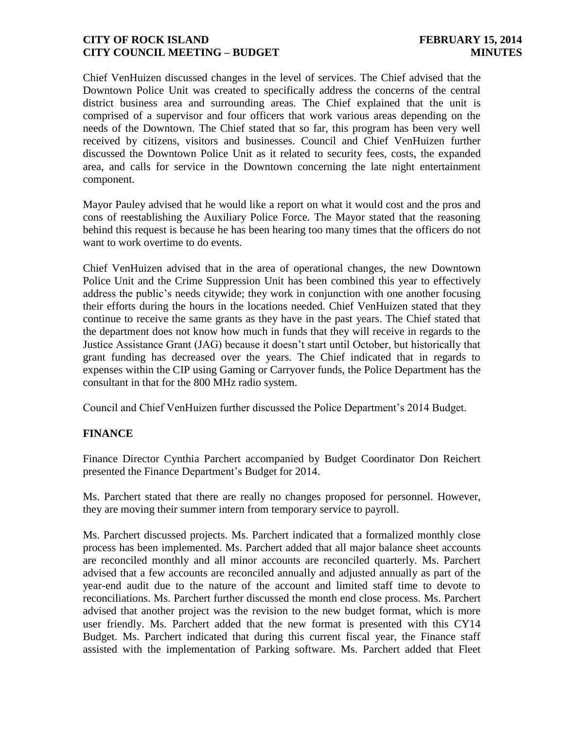Chief VenHuizen discussed changes in the level of services. The Chief advised that the Downtown Police Unit was created to specifically address the concerns of the central district business area and surrounding areas. The Chief explained that the unit is comprised of a supervisor and four officers that work various areas depending on the needs of the Downtown. The Chief stated that so far, this program has been very well received by citizens, visitors and businesses. Council and Chief VenHuizen further discussed the Downtown Police Unit as it related to security fees, costs, the expanded area, and calls for service in the Downtown concerning the late night entertainment component.

Mayor Pauley advised that he would like a report on what it would cost and the pros and cons of reestablishing the Auxiliary Police Force. The Mayor stated that the reasoning behind this request is because he has been hearing too many times that the officers do not want to work overtime to do events.

Chief VenHuizen advised that in the area of operational changes, the new Downtown Police Unit and the Crime Suppression Unit has been combined this year to effectively address the public's needs citywide; they work in conjunction with one another focusing their efforts during the hours in the locations needed. Chief VenHuizen stated that they continue to receive the same grants as they have in the past years. The Chief stated that the department does not know how much in funds that they will receive in regards to the Justice Assistance Grant (JAG) because it doesn't start until October, but historically that grant funding has decreased over the years. The Chief indicated that in regards to expenses within the CIP using Gaming or Carryover funds, the Police Department has the consultant in that for the 800 MHz radio system.

Council and Chief VenHuizen further discussed the Police Department's 2014 Budget.

## **FINANCE**

Finance Director Cynthia Parchert accompanied by Budget Coordinator Don Reichert presented the Finance Department's Budget for 2014.

Ms. Parchert stated that there are really no changes proposed for personnel. However, they are moving their summer intern from temporary service to payroll.

Ms. Parchert discussed projects. Ms. Parchert indicated that a formalized monthly close process has been implemented. Ms. Parchert added that all major balance sheet accounts are reconciled monthly and all minor accounts are reconciled quarterly. Ms. Parchert advised that a few accounts are reconciled annually and adjusted annually as part of the year-end audit due to the nature of the account and limited staff time to devote to reconciliations. Ms. Parchert further discussed the month end close process. Ms. Parchert advised that another project was the revision to the new budget format, which is more user friendly. Ms. Parchert added that the new format is presented with this CY14 Budget. Ms. Parchert indicated that during this current fiscal year, the Finance staff assisted with the implementation of Parking software. Ms. Parchert added that Fleet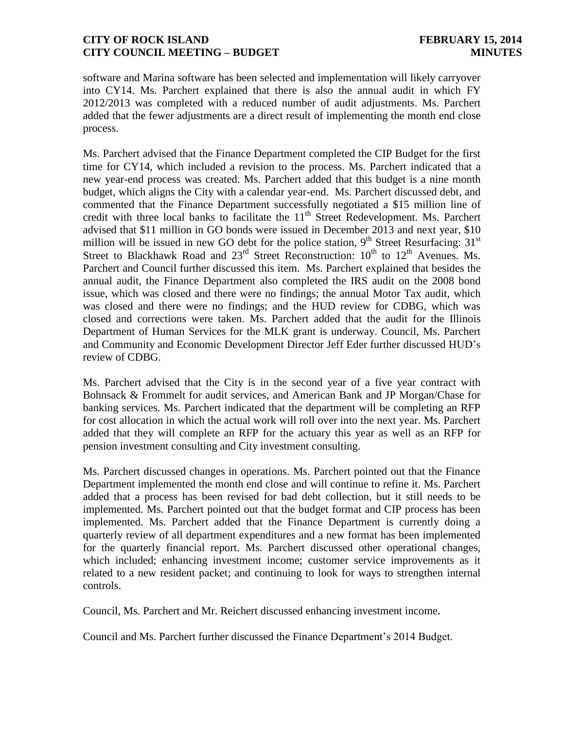software and Marina software has been selected and implementation will likely carryover into CY14. Ms. Parchert explained that there is also the annual audit in which FY 2012/2013 was completed with a reduced number of audit adjustments. Ms. Parchert added that the fewer adjustments are a direct result of implementing the month end close process.

Ms. Parchert advised that the Finance Department completed the CIP Budget for the first time for CY14, which included a revision to the process. Ms. Parchert indicated that a new year-end process was created. Ms. Parchert added that this budget is a nine month budget, which aligns the City with a calendar year-end. Ms. Parchert discussed debt, and commented that the Finance Department successfully negotiated a \$15 million line of credit with three local banks to facilitate the  $11<sup>th</sup>$  Street Redevelopment. Ms. Parchert advised that \$11 million in GO bonds were issued in December 2013 and next year, \$10 million will be issued in new GO debt for the police station,  $9<sup>th</sup>$  Street Resurfacing: 31<sup>st</sup> Street to Blackhawk Road and  $23<sup>rd</sup>$  Street Reconstruction:  $10<sup>th</sup>$  to  $12<sup>th</sup>$  Avenues. Ms. Parchert and Council further discussed this item. Ms. Parchert explained that besides the annual audit, the Finance Department also completed the IRS audit on the 2008 bond issue, which was closed and there were no findings; the annual Motor Tax audit, which was closed and there were no findings; and the HUD review for CDBG, which was closed and corrections were taken. Ms. Parchert added that the audit for the Illinois Department of Human Services for the MLK grant is underway. Council, Ms. Parchert and Community and Economic Development Director Jeff Eder further discussed HUD's review of CDBG.

Ms. Parchert advised that the City is in the second year of a five year contract with Bohnsack & Frommelt for audit services, and American Bank and JP Morgan/Chase for banking services. Ms. Parchert indicated that the department will be completing an RFP for cost allocation in which the actual work will roll over into the next year. Ms. Parchert added that they will complete an RFP for the actuary this year as well as an RFP for pension investment consulting and City investment consulting.

Ms. Parchert discussed changes in operations. Ms. Parchert pointed out that the Finance Department implemented the month end close and will continue to refine it. Ms. Parchert added that a process has been revised for bad debt collection, but it still needs to be implemented. Ms. Parchert pointed out that the budget format and CIP process has been implemented. Ms. Parchert added that the Finance Department is currently doing a quarterly review of all department expenditures and a new format has been implemented for the quarterly financial report. Ms. Parchert discussed other operational changes, which included; enhancing investment income; customer service improvements as it related to a new resident packet; and continuing to look for ways to strengthen internal controls.

Council, Ms. Parchert and Mr. Reichert discussed enhancing investment income.

Council and Ms. Parchert further discussed the Finance Department's 2014 Budget.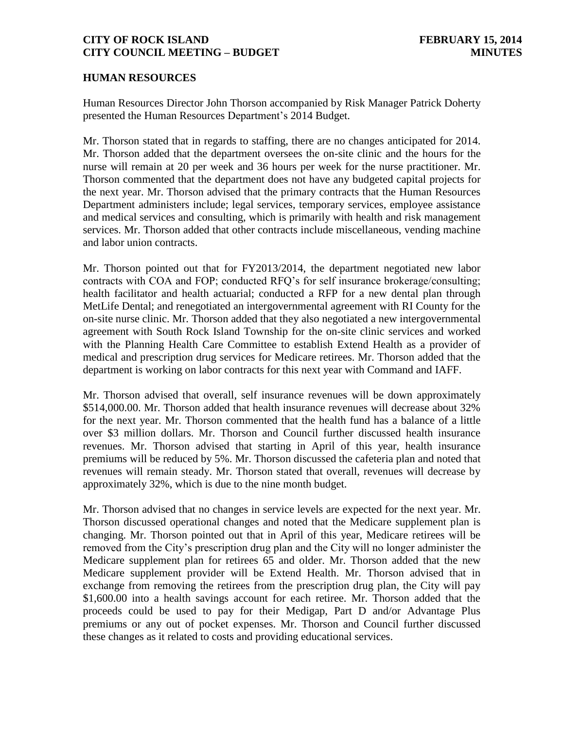#### **HUMAN RESOURCES**

Human Resources Director John Thorson accompanied by Risk Manager Patrick Doherty presented the Human Resources Department's 2014 Budget.

Mr. Thorson stated that in regards to staffing, there are no changes anticipated for 2014. Mr. Thorson added that the department oversees the on-site clinic and the hours for the nurse will remain at 20 per week and 36 hours per week for the nurse practitioner. Mr. Thorson commented that the department does not have any budgeted capital projects for the next year. Mr. Thorson advised that the primary contracts that the Human Resources Department administers include; legal services, temporary services, employee assistance and medical services and consulting, which is primarily with health and risk management services. Mr. Thorson added that other contracts include miscellaneous, vending machine and labor union contracts.

Mr. Thorson pointed out that for FY2013/2014, the department negotiated new labor contracts with COA and FOP; conducted RFQ's for self insurance brokerage/consulting; health facilitator and health actuarial; conducted a RFP for a new dental plan through MetLife Dental; and renegotiated an intergovernmental agreement with RI County for the on-site nurse clinic. Mr. Thorson added that they also negotiated a new intergovernmental agreement with South Rock Island Township for the on-site clinic services and worked with the Planning Health Care Committee to establish Extend Health as a provider of medical and prescription drug services for Medicare retirees. Mr. Thorson added that the department is working on labor contracts for this next year with Command and IAFF.

Mr. Thorson advised that overall, self insurance revenues will be down approximately \$514,000.00. Mr. Thorson added that health insurance revenues will decrease about 32% for the next year. Mr. Thorson commented that the health fund has a balance of a little over \$3 million dollars. Mr. Thorson and Council further discussed health insurance revenues. Mr. Thorson advised that starting in April of this year, health insurance premiums will be reduced by 5%. Mr. Thorson discussed the cafeteria plan and noted that revenues will remain steady. Mr. Thorson stated that overall, revenues will decrease by approximately 32%, which is due to the nine month budget.

Mr. Thorson advised that no changes in service levels are expected for the next year. Mr. Thorson discussed operational changes and noted that the Medicare supplement plan is changing. Mr. Thorson pointed out that in April of this year, Medicare retirees will be removed from the City's prescription drug plan and the City will no longer administer the Medicare supplement plan for retirees 65 and older. Mr. Thorson added that the new Medicare supplement provider will be Extend Health. Mr. Thorson advised that in exchange from removing the retirees from the prescription drug plan, the City will pay \$1,600.00 into a health savings account for each retiree. Mr. Thorson added that the proceeds could be used to pay for their Medigap, Part D and/or Advantage Plus premiums or any out of pocket expenses. Mr. Thorson and Council further discussed these changes as it related to costs and providing educational services.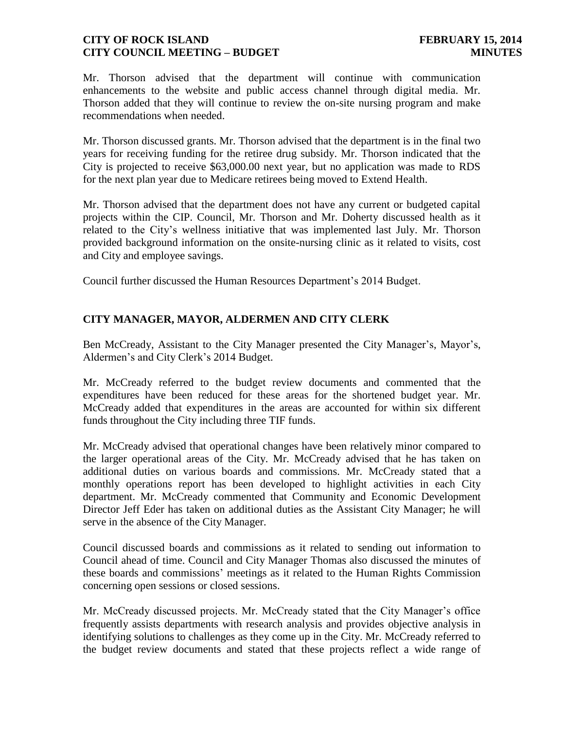Mr. Thorson advised that the department will continue with communication enhancements to the website and public access channel through digital media. Mr. Thorson added that they will continue to review the on-site nursing program and make recommendations when needed.

Mr. Thorson discussed grants. Mr. Thorson advised that the department is in the final two years for receiving funding for the retiree drug subsidy. Mr. Thorson indicated that the City is projected to receive \$63,000.00 next year, but no application was made to RDS for the next plan year due to Medicare retirees being moved to Extend Health.

Mr. Thorson advised that the department does not have any current or budgeted capital projects within the CIP. Council, Mr. Thorson and Mr. Doherty discussed health as it related to the City's wellness initiative that was implemented last July. Mr. Thorson provided background information on the onsite-nursing clinic as it related to visits, cost and City and employee savings.

Council further discussed the Human Resources Department's 2014 Budget.

## **CITY MANAGER, MAYOR, ALDERMEN AND CITY CLERK**

Ben McCready, Assistant to the City Manager presented the City Manager's, Mayor's, Aldermen's and City Clerk's 2014 Budget.

Mr. McCready referred to the budget review documents and commented that the expenditures have been reduced for these areas for the shortened budget year. Mr. McCready added that expenditures in the areas are accounted for within six different funds throughout the City including three TIF funds.

Mr. McCready advised that operational changes have been relatively minor compared to the larger operational areas of the City. Mr. McCready advised that he has taken on additional duties on various boards and commissions. Mr. McCready stated that a monthly operations report has been developed to highlight activities in each City department. Mr. McCready commented that Community and Economic Development Director Jeff Eder has taken on additional duties as the Assistant City Manager; he will serve in the absence of the City Manager.

Council discussed boards and commissions as it related to sending out information to Council ahead of time. Council and City Manager Thomas also discussed the minutes of these boards and commissions' meetings as it related to the Human Rights Commission concerning open sessions or closed sessions.

Mr. McCready discussed projects. Mr. McCready stated that the City Manager's office frequently assists departments with research analysis and provides objective analysis in identifying solutions to challenges as they come up in the City. Mr. McCready referred to the budget review documents and stated that these projects reflect a wide range of